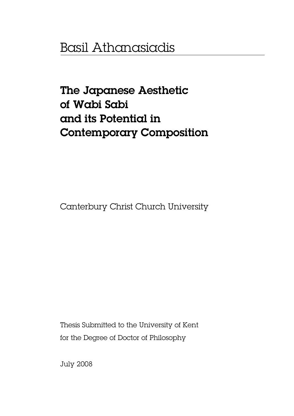## Basil Athanasiadis

# The Japanese Aesthetic of Wabi Sabi and its Potential in Contemporary Composition

Canterbury Christ Church University

Thesis Submitted to the University of Kent for the Degree of Doctor of Philosophy

July 2008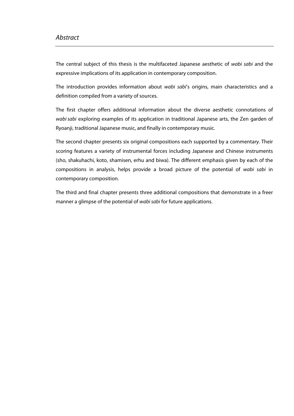### Abstract

The central subject of this thesis is the multifaceted Japanese aesthetic of wabi sabi and the expressive implications of its application in contemporary composition.

The introduction provides information about wabi sabi's origins, main characteristics and a definition compiled from a variety of sources.

The first chapter offers additional information about the diverse aesthetic connotations of wabi sabi exploring examples of its application in traditional Japanese arts, the Zen garden of Ryoanji, traditional Japanese music, and finally in contemporary music.

The second chapter presents six original compositions each supported by a commentary. Their scoring features a variety of instrumental forces including Japanese and Chinese instruments (sho, shakuhachi, koto, shamisen, erhu and biwa). The different emphasis given by each of the compositions in analysis, helps provide a broad picture of the potential of wabi sabi in contemporary composition.

The third and final chapter presents three additional compositions that demonstrate in a freer manner a glimpse of the potential of wabi sabi for future applications.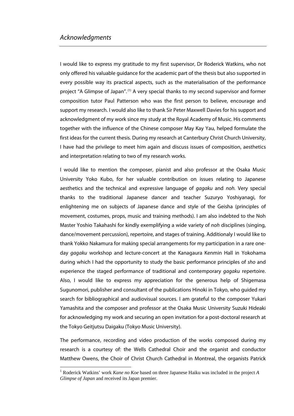$\overline{a}$ 

I would like to express my gratitude to my first supervisor, Dr Roderick Watkins, who not only offered his valuable guidance for the academic part of the thesis but also supported in every possible way its practical aspects, such as the materialisation of the performance project "A Glimpse of Japan". (1) A very special thanks to my second supervisor and former composition tutor Paul Patterson who was the first person to believe, encourage and support my research. I would also like to thank Sir Peter Maxwell Davies for his support and acknowledgment of my work since my study at the Royal Academy of Music. His comments together with the influence of the Chinese composer May Kay Yau, helped formulate the first ideas for the current thesis. During my research at Canterbury Christ Church University, I have had the privilege to meet him again and discuss issues of composition, aesthetics and interpretation relating to two of my research works.

I would like to mention the composer, pianist and also professor at the Osaka Music University Yoko Kubo, for her valuable contribution on issues relating to Japanese aesthetics and the technical and expressive language of gagaku and noh. Very special thanks to the traditional Japanese dancer and teacher Suzuryo Yoshiyanagi, for enlightening me on subjects of Japanese dance and style of the Geisha (principles of movement, costumes, props, music and training methods). I am also indebted to the Noh Master Yoshio Takahashi for kindly exemplifying a wide variety of noh disciplines (singing, dance/movement percussion), repertoire, and stages of training. Additionaly I would like to thank Yokko Nakamura for making special arrangements for my participation in a rare oneday *gagaku* workshop and lecture-concert at the Kanagaura Kenmin Hall in Yokohama during which I had the opportunity to study the basic performance principles of sho and experience the staged performance of traditional and contemporary gagaku repertoire. Also, I would like to express my appreciation for the generous help of Shigemasa Sugunomori, publisher and consultant of the publications Hinoki in Tokyo, who guided my search for bibliographical and audiovisual sources. I am grateful to the composer Yukari Yamashita and the composer and professor at the Osaka Music University Suzuki Hideaki for acknowledging my work and securing an open invitation for a post-doctoral research at the Tokyo Geitjutsu Daigaku (Tokyo Music University).

The performance, recording and video production of the works composed during my research is a courtesy of: the Wells Cathedral Choir and the organist and conductor Matthew Owens, the Choir of Christ Church Cathedral in Montreal, the organists Patrick

<sup>1</sup> Roderick Watkins' work *Kane no Koe* based on three Japanese Haiku was included in the project *A Glimpse of Japan* and received its Japan premier.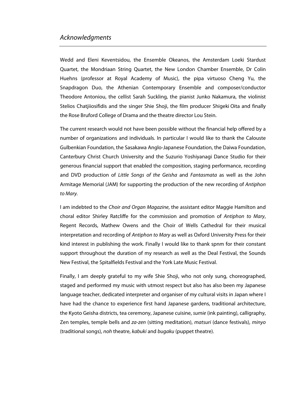### Acknowledgments

Wedd and Eleni Keventsidou, the Ensemble Okeanos, the Amsterdam Loeki Stardust Quartet, the Mondriaan String Quartet, the New London Chamber Ensemble, Dr Colin Huehns (professor at Royal Academy of Music), the pipa virtuoso Cheng Yu, the Snapdragon Duo, the Athenian Contemporary Ensemble and composer/conductor Theodore Antoniou, the cellist Sarah Suckling, the pianist Junko Nakamura, the violinist Stelios Chatjiiosifidis and the singer Shie Shoji, the film producer Shigeki Oita and finally the Rose Bruford College of Drama and the theatre director Lou Stein.

The current research would not have been possible without the financial help offered by a number of organizations and individuals. In particular I would like to thank the Calouste Gulbenkian Foundation, the Sasakawa Anglo-Japanese Foundation, the Daiwa Foundation, Canterbury Christ Church University and the Suzurio Yoshiyanagi Dance Studio for their generous financial support that enabled the composition, staging performance, recording and DVD production of Little Songs of the Geisha and Fantasmata as well as the John Armitage Memorial (JAM) for supporting the production of the new recording of Antiphon to Mary.

I am indebted to the Choir and Organ Magazine, the assistant editor Maggie Hamilton and choral editor Shirley Ratcliffe for the commission and promotion of Antiphon to Mary, Regent Records, Mathew Owens and the Choir of Wells Cathedral for their musical interpretation and recording of Antiphon to Mary as well as Oxford University Press for their kind interest in publishing the work. Finally I would like to thank spnm for their constant support throughout the duration of my research as well as the Deal Festival, the Sounds New Festival, the Spitalfields Festival and the York Late Music Festival.

Finally, I am deeply grateful to my wife Shie Shoji, who not only sung, choreographed, staged and performed my music with utmost respect but also has also been my Japanese language teacher, dedicated interpreter and organiser of my cultural visits in Japan where I have had the chance to experience first hand Japanese gardens, traditional architecture, the Kyoto Geisha districts, tea ceremony, Japanese cuisine, sumie (ink painting), calligraphy, Zen temples, temple bells and za-zen (sitting meditation), matsuri (dance festivals), minyo (traditional songs), noh theatre, kabuki and bugaku (puppet theatre).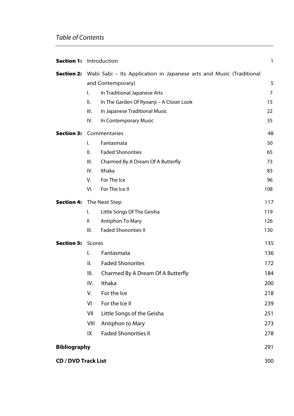| <b>Section 1:</b>              | Introduction                                                      |                                                                                                                                                                                                                                                  | 1                                                                  |
|--------------------------------|-------------------------------------------------------------------|--------------------------------------------------------------------------------------------------------------------------------------------------------------------------------------------------------------------------------------------------|--------------------------------------------------------------------|
|                                | $\mathsf{L}$<br>Ш.<br>Ш.<br>IV.                                   | <b>Section 2:</b> Wabi Sabi – Its Application in Japanese arts and Music (Traditional<br>and Contemporary)<br>In Traditional Japanese Arts<br>In The Garden Of Ryoanji - A Closer Look<br>In Japanese Traditional Music<br>In Contemporary Music | 5<br>7<br>15<br>22<br>35                                           |
| <b>Section 3: Commentaries</b> | $\mathsf{L}$<br>Ш.<br>III.<br>IV.<br>V.<br>VI.                    | Fantasmata<br><b>Faded Shonorities</b><br>Charmed By A Dream Of A Butterfly<br>Ithaka<br>For The Ice<br>For The Ice II                                                                                                                           | 48<br>50<br>65<br>73<br>83<br>96<br>108                            |
| <b>Section 4:</b>              | The Next Step<br>I.<br>Ш<br>III.                                  | Little Songs Of The Geisha<br>Antiphon To Mary<br><b>Faded Shonorities II</b>                                                                                                                                                                    | 117<br>119<br>126<br>130                                           |
| <b>Section 5:</b>              | Scores<br>I.<br>ΙΙ.<br>Ш.<br>IV.<br>V.<br>VI<br>VII<br>VIII<br>IX | Fantasmata<br><b>Faded Shonorites</b><br>Charmed By A Dream Of A Butterfly<br>Ithaka<br>For the Ice<br>For the Ice II<br>Little Songs of the Geisha<br>Antiphon to Mary<br><b>Faded Shonorities II</b>                                           | 135<br>136<br>172<br>184<br>200<br>218<br>239<br>251<br>273<br>278 |
| <b>Bibliography</b>            |                                                                   | 291                                                                                                                                                                                                                                              |                                                                    |
| <b>CD / DVD Track List</b>     |                                                                   |                                                                                                                                                                                                                                                  | 300                                                                |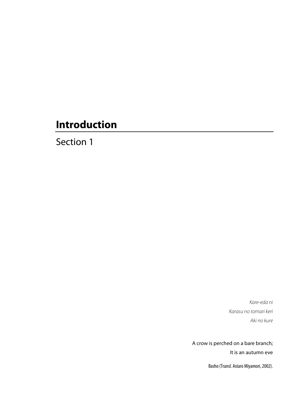Section 1

Kare-eda ni Karasu no tomari keri Aki no kure

A crow is perched on a bare branch; It is an autumn eve

Basho (Transl. Astaro Miyamori, 2002).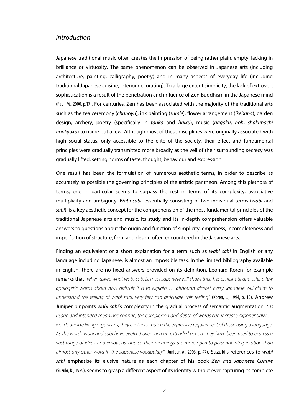Japanese traditional music often creates the impression of being rather plain, empty, lacking in brilliance or virtuosity. The same phenomenon can be observed in Japanese arts (including architecture, painting, calligraphy, poetry) and in many aspects of everyday life (including traditional Japanese cuisine, interior decorating). To a large extent simplicity, the lack of extrovert sophistication is a result of the penetration and influence of Zen Buddhism in the Japanese mind (Paul, M., 2000, p.17). For centuries, Zen has been associated with the majority of the traditional arts such as the tea ceremony (chanoyu), ink painting (sumie), flower arrangement (ikebana), garden design, archery, poetry (specifically in tanka and haiku), music (gagaku, noh, shakuhachi honkyoku) to name but a few. Although most of these disciplines were originally associated with high social status, only accessible to the elite of the society, their effect and fundamental principles were gradually transmitted more broadly as the veil of their surrounding secrecy was gradually lifted, setting norms of taste, thought, behaviour and expression.

One result has been the formulation of numerous aesthetic terms, in order to describe as accurately as possible the governing principles of the artistic pantheon. Among this plethora of terms, one in particular seems to surpass the rest in terms of its complexity, associative multiplicity and ambiguity. Wabi sabi, essentially consisting of two individual terms (wabi and sabi), is a key aesthetic concept for the comprehension of the most fundamental principles of the traditional Japanese arts and music. Its study and its in-depth comprehension offers valuable answers to questions about the origin and function of simplicity, emptiness, incompleteness and imperfection of structure, form and design often encountered in the Japanese arts.

Finding an equivalent or a short explanation for a term such as wabi sabi in English or any language including Japanese, is almost an impossible task. In the limited bibliography available in English, there are no fixed answers provided on its definition. Leonard Koren for example remarks that "when asked what wabi-sabi is, most Japanese will shake their head, hesitate and offer a few apologetic words about how difficult it is to explain … although almost every Japanese will claim to understand the feeling of wabi sabi, very few can articulate this feeling" (Koren, L., 1994, p. 15). Andrew Juniper pinpoints wabi sabi's complexity in the gradual process of semantic augmentation: " $as$ usage and intended meanings change, the complexion and depth of words can increase exponentially … words are like living organisms, they evolve to match the expressive requirement of those using a language. As the words wabi and sabi have evolved over such an extended period, they have been used to express a vast range of ideas and emotions, and so their meanings are more open to personal interpretation than almost any other word in the Japanese vocabulary" (Juniper, A., 2003, p. 47). Suzuki's references to wabi sabi emphasise its elusive nature as each chapter of his book Zen and Japanese Culture (Suzuki, D., 1959), seems to grasp a different aspect of its identity without ever capturing its complete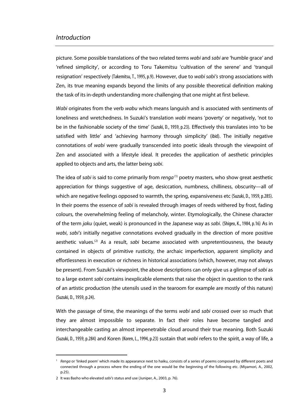picture. Some possible translations of the two related terms wabi and sabi are 'humble grace' and 'refined simplicity', or according to Toru Takemitsu 'cultivation of the serene' and 'tranquil resignation' respectively (Takemitsu, T., 1995, p.9). However, due to wabi sabi's strong associations with Zen, its true meaning expands beyond the limits of any possible theoretical definition making the task of its in-depth understanding more challenging that one might at first believe.

Wabi originates from the verb wabu which means languish and is associated with sentiments of loneliness and wretchedness. In Suzuki's translation *wabi* means 'poverty' or negatively, 'not to be in the fashionable society of the time' (Suzuki, D., 1959, p.23). Effectively this translates into 'to be satisfied with little' and 'achieving harmony through simplicity' (ibid). The initially negative connotations of wabi were gradually transcended into poetic ideals through the viewpoint of Zen and associated with a lifestyle ideal. It precedes the application of aesthetic principles applied to objects and arts, the latter being sabi.

The idea of sabi is said to come primarily from renga<sup>(1)</sup> poetry masters, who show great aesthetic appreciation for things suggestive of age, desiccation, numbness, chilliness, obscurity—all of which are negative feelings opposed to warmth, the spring, expansiveness etc (Suzuki, D., 1959, p.285). In their poems the essence of *sabi* is revealed through images of reeds withered by frost, fading colours, the overwhelming feeling of melancholy, winter. Etymologically, the Chinese character of the term jaku (quiet, weak) is pronounced in the Japanese way as sabi. (Shigeo, K., 1984, p.16) As in wabi, sabi's initially negative connotations evolved gradually in the direction of more positive aesthetic values.<sup>(2)</sup> As a result, *sabi* became associated with unpretentiousness, the beauty contained in objects of primitive rusticity, the archaic imperfection, apparent simplicity and effortlessness in execution or richness in historical associations (which, however, may not always be present). From Suzuki's viewpoint, the above descriptions can only give us a glimpse of sabi as to a large extent *sabi* contains inexplicable elements that raise the object in question to the rank of an artistic production (the utensils used in the tearoom for example are mostly of this nature) (Suzuki, D., 1959, p.24).

With the passage of time, the meanings of the terms wabi and sabi crossed over so much that they are almost impossible to separate. In fact their roles have become tangled and interchangeable casting an almost impenetrable cloud around their true meaning. Both Suzuki (Suzuki, D., 1959, p.284) and Koren (Koren, L., 1994, p.23) sustain that wabi refers to the spirit, a way of life, a

 $\overline{a}$ 

<sup>&</sup>lt;sup>1</sup> Renga or 'linked poem' which made its appearance next to haiku, consists of a series of poems composed by different poets and connected through a process where the ending of the one would be the beginning of the following etc. (Miyamori, A., 2002, p.25).

<sup>2</sup> It was Basho who elevated sabi's status and use (Juniper, A., 2003, p. 76).